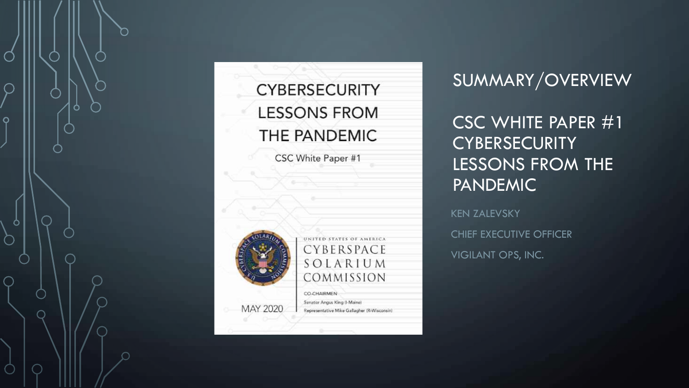

#### **CYBERSECURITY LESSONS FROM** THE PANDEMIC

CSC White Paper #1



UNITED STATES OF AMERICA CYBERSPACE SOLARIUM COMMISSION CO-CHAIRMEN

#### Senator Angus King (I-Maine) Representative Mike Gallagher (R-Wisconsin)

SUMMARY/OVERVIEW

CSC WHITE PAPER #1 **CYBERSECURITY** LESSONS FROM THE PANDEMIC

KEN ZALEVSKY CHIEF EXECUTIVE OFFICER VIGILANT OPS, INC.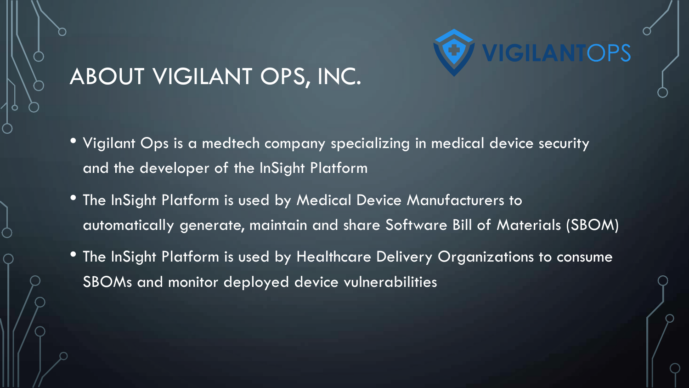

#### ABOUT VIGILANT OPS, INC.

- Vigilant Ops is a medtech company specializing in medical device security and the developer of the InSight Platform
- The InSight Platform is used by Medical Device Manufacturers to automatically generate, maintain and share Software Bill of Materials (SBOM)
- The InSight Platform is used by Healthcare Delivery Organizations to consume SBOMs and monitor deployed device vulnerabilities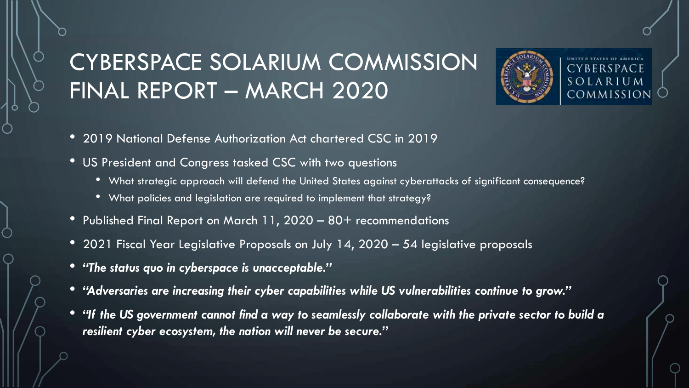# CYBERSPACE SOLARIUM COMMISSION FINAL REPORT – MARCH 2020



SOLARIUM COMMISSION

- 2019 National Defense Authorization Act chartered CSC in 2019
- US President and Congress tasked CSC with two questions
	- What strategic approach will defend the United States against cyberattacks of significant consequence?
	- What policies and legislation are required to implement that strategy?
- Published Final Report on March 11, 2020 80+ recommendations
- 2021 Fiscal Year Legislative Proposals on July 14, 2020 54 legislative proposals
- *"The status quo in cyberspace is unacceptable."*
- *"Adversaries are increasing their cyber capabilities while US vulnerabilities continue to grow."*
- *"If the US government cannot find a way to seamlessly collaborate with the private sector to build a resilient cyber ecosystem, the nation will never be secure."*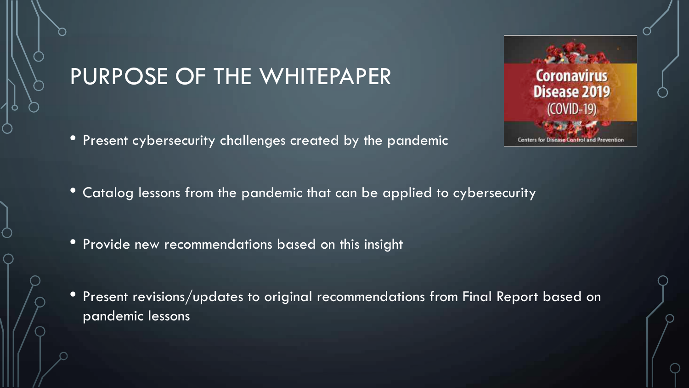#### PURPOSE OF THE WHITEPAPER

• Present cybersecurity challenges created by the pandemic



- Catalog lessons from the pandemic that can be applied to cybersecurity
- Provide new recommendations based on this insight
- Present revisions/updates to original recommendations from Final Report based on pandemic lessons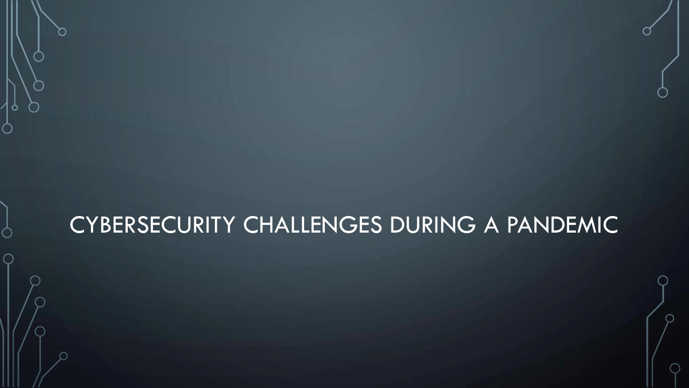#### CYBERSECURITY CHALLENGES DURING A PANDEMIC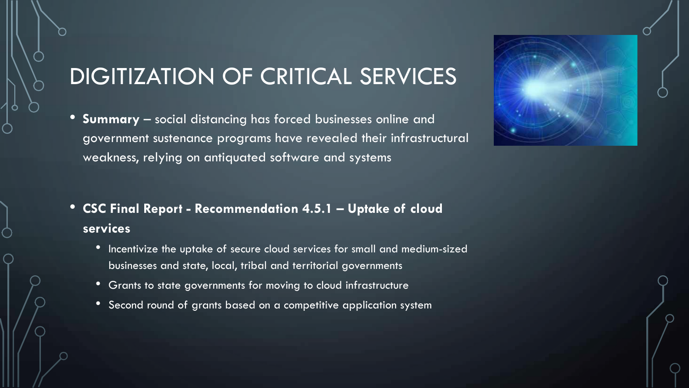# DIGITIZATION OF CRITICAL SERVICES

- **Summary** social distancing has forced businesses online and government sustenance programs have revealed their infrastructural weakness, relying on antiquated software and systems
- **CSC Final Report - Recommendation 4.5.1 – Uptake of cloud services**
	- Incentivize the uptake of secure cloud services for small and medium-sized businesses and state, local, tribal and territorial governments
	- Grants to state governments for moving to cloud infrastructure
	- Second round of grants based on a competitive application system

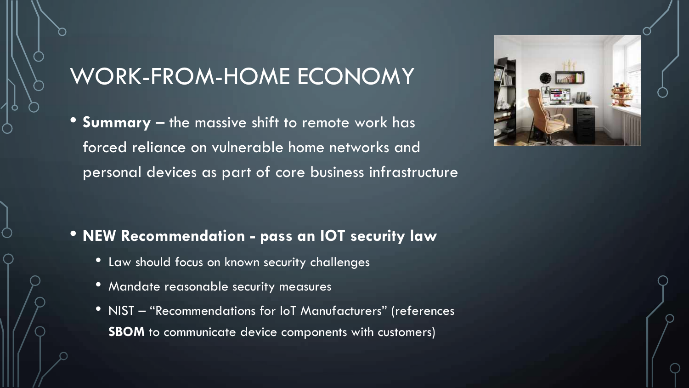• **Summary** – the massive shift to remote work has forced reliance on vulnerable home networks and personal devices as part of core business infrastructure



- Law should focus on known security challenges
- Mandate reasonable security measures
- NIST "Recommendations for IoT Manufacturers" (references **SBOM** to communicate device components with customers)

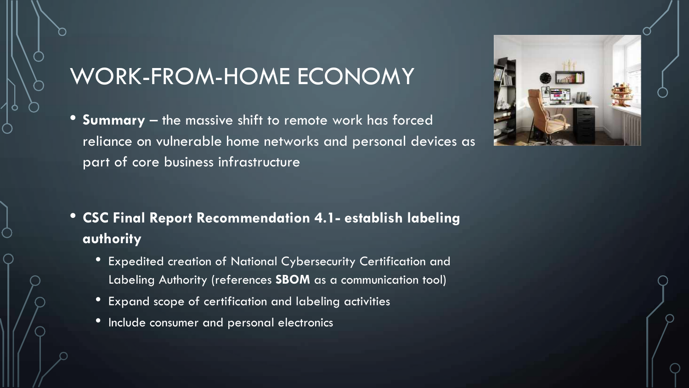• **Summary** – the massive shift to remote work has forced reliance on vulnerable home networks and personal devices as part of core business infrastructure



- **CSC Final Report Recommendation 4.1- establish labeling authority**
	- Expedited creation of National Cybersecurity Certification and Labeling Authority (references **SBOM** as a communication tool)
	- Expand scope of certification and labeling activities
	- Include consumer and personal electronics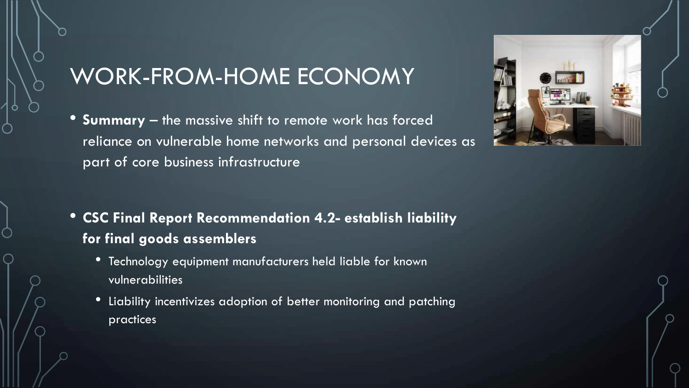• **Summary** – the massive shift to remote work has forced reliance on vulnerable home networks and personal devices as part of core business infrastructure



#### • **CSC Final Report Recommendation 4.2- establish liability for final goods assemblers**

- Technology equipment manufacturers held liable for known vulnerabilities
- Liability incentivizes adoption of better monitoring and patching practices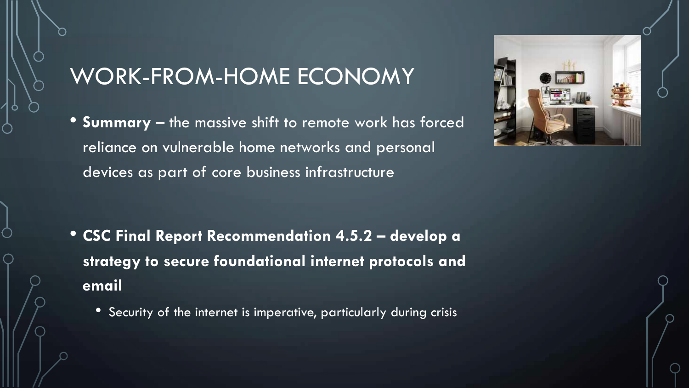• **Summary** – the massive shift to remote work has forced reliance on vulnerable home networks and personal devices as part of core business infrastructure

- **CSC Final Report Recommendation 4.5.2 – develop a strategy to secure foundational internet protocols and email**
	- Security of the internet is imperative, particularly during crisis

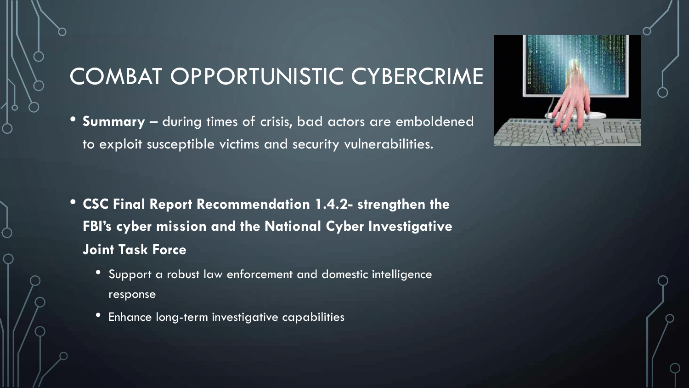# COMBAT OPPORTUNISTIC CYBERCRIME

• **Summary** – during times of crisis, bad actors are emboldened to exploit susceptible victims and security vulnerabilities.

- **CSC Final Report Recommendation 1.4.2- strengthen the FBI's cyber mission and the National Cyber Investigative Joint Task Force**
	- Support a robust law enforcement and domestic intelligence response
	- Enhance long-term investigative capabilities

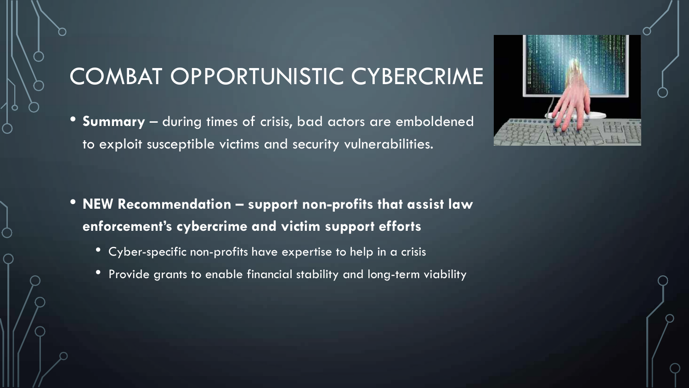# COMBAT OPPORTUNISTIC CYBERCRIME

• **Summary** – during times of crisis, bad actors are emboldened to exploit susceptible victims and security vulnerabilities.



- **NEW Recommendation – support non-profits that assist law enforcement's cybercrime and victim support efforts**
	- Cyber-specific non-profits have expertise to help in a crisis
	- Provide grants to enable financial stability and long-term viability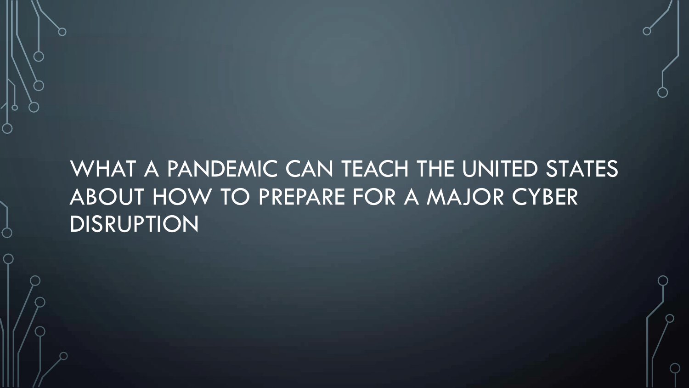# WHAT A PANDEMIC CAN TEACH THE UNITED STATES ABOUT HOW TO PREPARE FOR A MAJOR CYBER **DISRUPTION**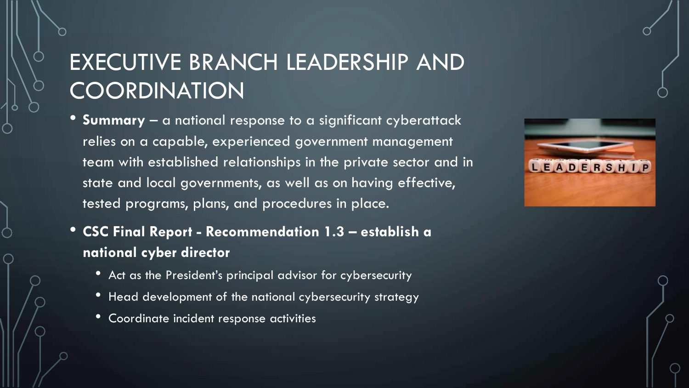# EXECUTIVE BRANCH LEADERSHIP AND **COORDINATION**

- **Summary** a national response to a significant cyberattack relies on a capable, experienced government management team with established relationships in the private sector and in state and local governments, as well as on having effective, tested programs, plans, and procedures in place.
- **CSC Final Report - Recommendation 1.3 – establish a national cyber director**
	- Act as the President's principal advisor for cybersecurity
	- Head development of the national cybersecurity strategy
	- Coordinate incident response activities

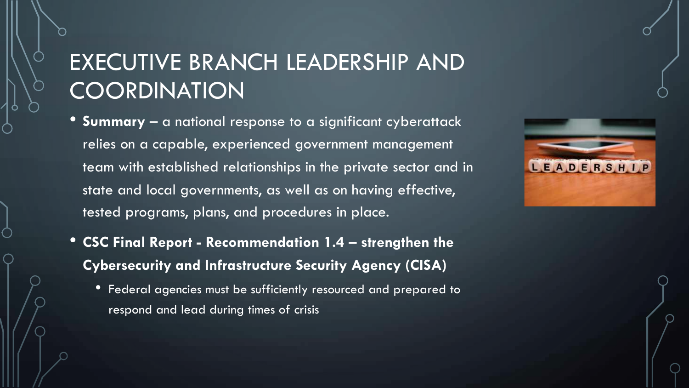#### EXECUTIVE BRANCH LEADERSHIP AND **COORDINATION**

- **Summary** a national response to a significant cyberattack relies on a capable, experienced government management team with established relationships in the private sector and in state and local governments, as well as on having effective, tested programs, plans, and procedures in place.
- **CSC Final Report - Recommendation 1.4 – strengthen the Cybersecurity and Infrastructure Security Agency (CISA)**
	- Federal agencies must be sufficiently resourced and prepared to respond and lead during times of crisis

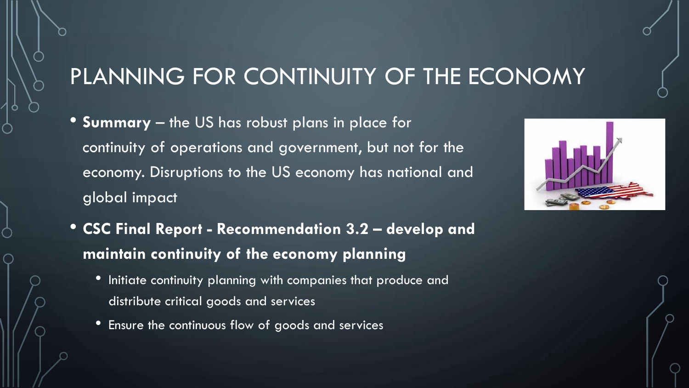# PLANNING FOR CONTINUITY OF THE ECONOMY

• **Summary** – the US has robust plans in place for continuity of operations and government, but not for the economy. Disruptions to the US economy has national and global impact



- **CSC Final Report - Recommendation 3.2 – develop and maintain continuity of the economy planning**
	- Initiate continuity planning with companies that produce and distribute critical goods and services
	- Ensure the continuous flow of goods and services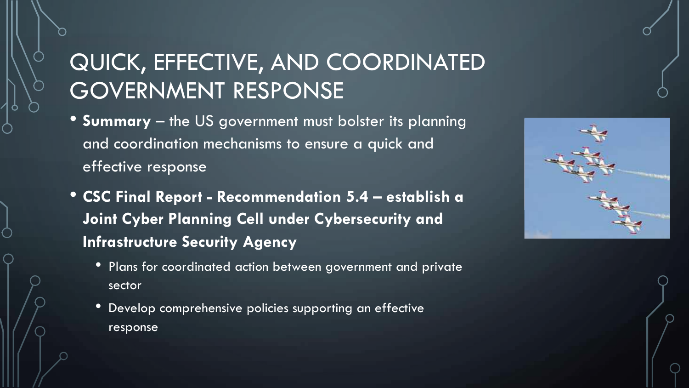# QUICK, EFFECTIVE, AND COORDINATED GOVERNMENT RESPONSE

- **Summary** the US government must bolster its planning and coordination mechanisms to ensure a quick and effective response
- **CSC Final Report - Recommendation 5.4 – establish a Joint Cyber Planning Cell under Cybersecurity and Infrastructure Security Agency**
	- Plans for coordinated action between government and private sector
	- Develop comprehensive policies supporting an effective response

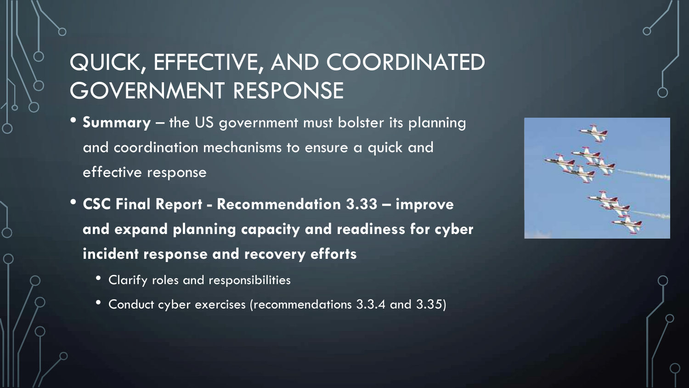# QUICK, EFFECTIVE, AND COORDINATED GOVERNMENT RESPONSE

- **Summary** the US government must bolster its planning and coordination mechanisms to ensure a quick and effective response
- **CSC Final Report - Recommendation 3.33 – improve and expand planning capacity and readiness for cyber incident response and recovery efforts**
	- Clarify roles and responsibilities
	- Conduct cyber exercises (recommendations 3.3.4 and 3.35)

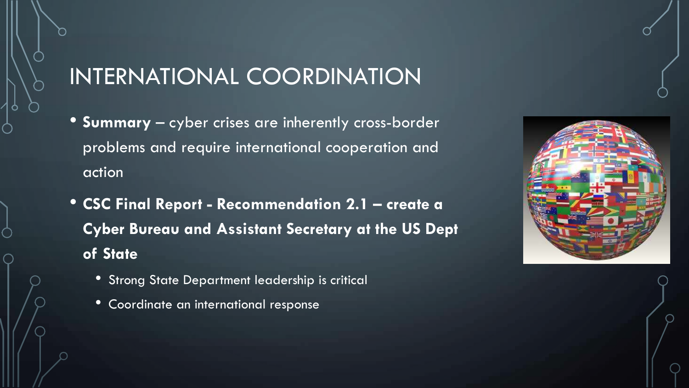# INTERNATIONAL COORDINATION

- **Summary** cyber crises are inherently cross-border problems and require international cooperation and action
- **CSC Final Report - Recommendation 2.1 – create a Cyber Bureau and Assistant Secretary at the US Dept of State**
	- Strong State Department leadership is critical
	- Coordinate an international response

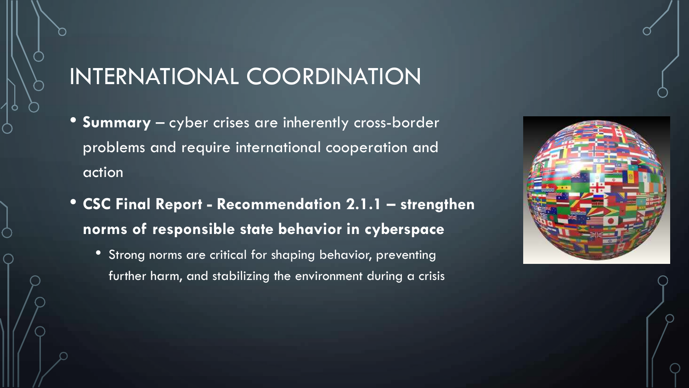# INTERNATIONAL COORDINATION

- **Summary** cyber crises are inherently cross-border problems and require international cooperation and action
- **CSC Final Report - Recommendation 2.1.1 – strengthen norms of responsible state behavior in cyberspace**
	- Strong norms are critical for shaping behavior, preventing further harm, and stabilizing the environment during a crisis

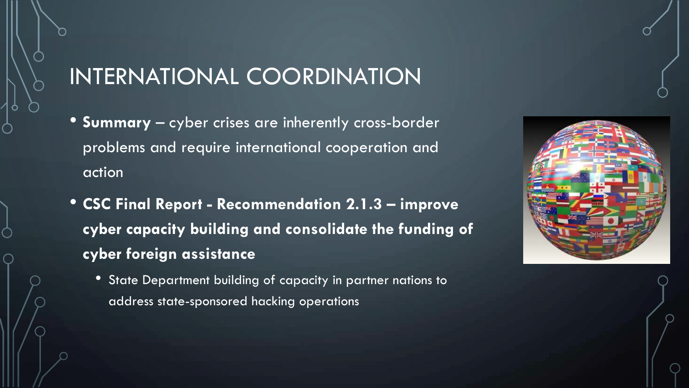# INTERNATIONAL COORDINATION

- **Summary** cyber crises are inherently cross-border problems and require international cooperation and action
- **CSC Final Report - Recommendation 2.1.3 – improve cyber capacity building and consolidate the funding of cyber foreign assistance**
	- State Department building of capacity in partner nations to address state-sponsored hacking operations

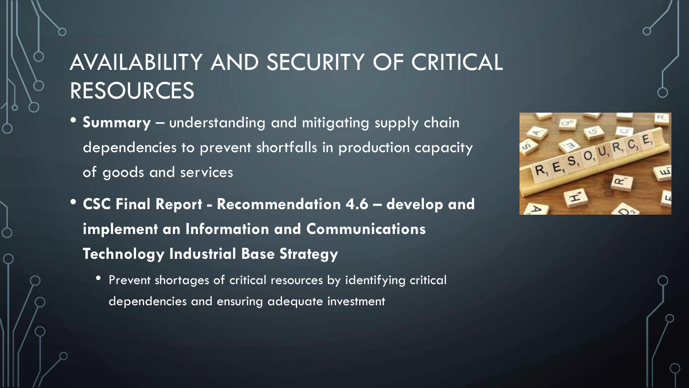# AVAILABILITY AND SECURITY OF CRITICAL RESOURCES

- **Summary** understanding and mitigating supply chain dependencies to prevent shortfalls in production capacity of goods and services
- **CSC Final Report - Recommendation 4.6 – develop and implement an Information and Communications Technology Industrial Base Strategy**
	- Prevent shortages of critical resources by identifying critical dependencies and ensuring adequate investment

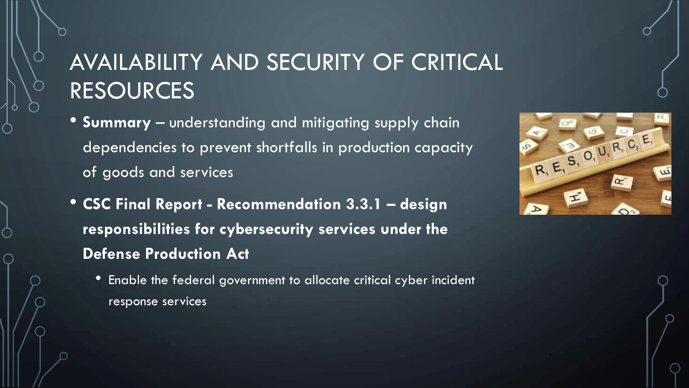# AVAILABILITY AND SECURITY OF CRITICAL RESOURCES

- **Summary** understanding and mitigating supply chain dependencies to prevent shortfalls in production capacity of goods and services
- **CSC Final Report - Recommendation 3.3.1 – design responsibilities for cybersecurity services under the Defense Production Act**
	- Enable the federal government to allocate critical cyber incident response services

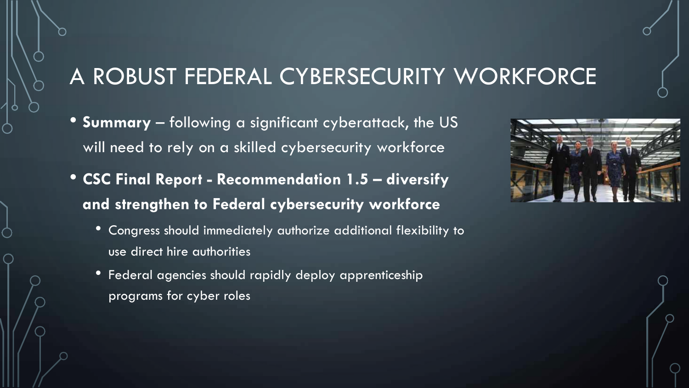# A ROBUST FEDERAL CYBERSECURITY WORKFORCE

- **Summary** following a significant cyberattack, the US will need to rely on a skilled cybersecurity workforce
- **CSC Final Report - Recommendation 1.5 – diversify and strengthen to Federal cybersecurity workforce**
	- Congress should immediately authorize additional flexibility to use direct hire authorities
	- Federal agencies should rapidly deploy apprenticeship programs for cyber roles

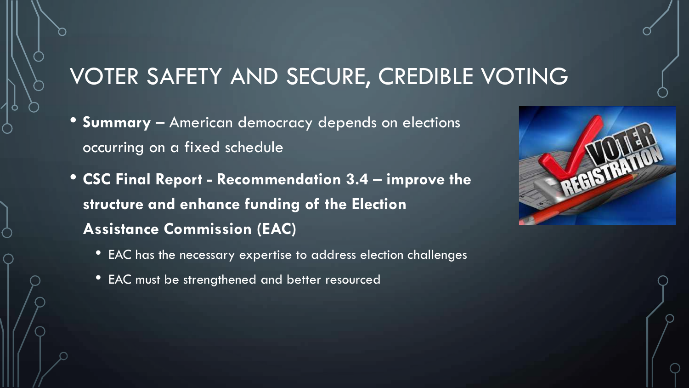#### VOTER SAFETY AND SECURE, CREDIBLE VOTING

- **Summary** American democracy depends on elections occurring on a fixed schedule
- **CSC Final Report - Recommendation 3.4 – improve the structure and enhance funding of the Election Assistance Commission (EAC)**
	- EAC has the necessary expertise to address election challenges
	- EAC must be strengthened and better resourced

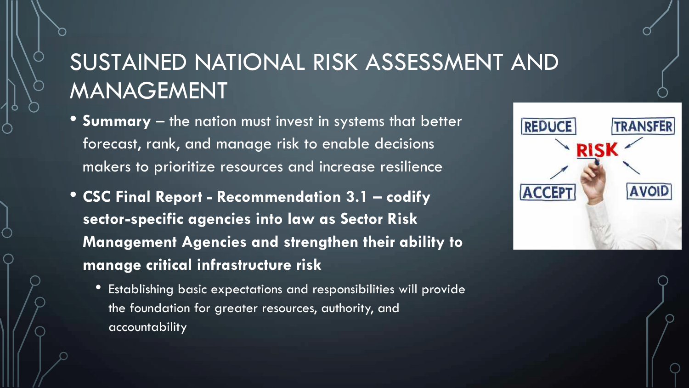# SUSTAINED NATIONAL RISK ASSESSMENT AND MANAGEMENT

- **Summary** the nation must invest in systems that better forecast, rank, and manage risk to enable decisions makers to prioritize resources and increase resilience
- **CSC Final Report - Recommendation 3.1 – codify sector-specific agencies into law as Sector Risk Management Agencies and strengthen their ability to manage critical infrastructure risk**
	- Establishing basic expectations and responsibilities will provide the foundation for greater resources, authority, and accountability

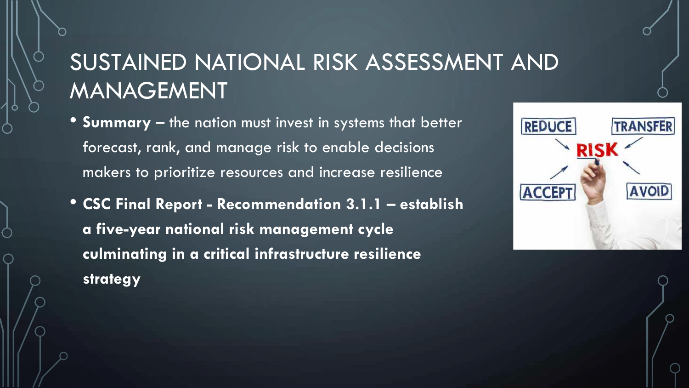# SUSTAINED NATIONAL RISK ASSESSMENT AND MANAGEMENT

- **Summary** the nation must invest in systems that better forecast, rank, and manage risk to enable decisions makers to prioritize resources and increase resilience
- **CSC Final Report - Recommendation 3.1.1 – establish a five-year national risk management cycle culminating in a critical infrastructure resilience strategy**

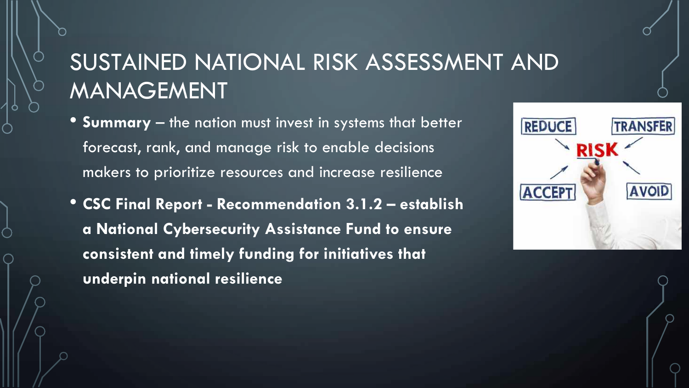# SUSTAINED NATIONAL RISK ASSESSMENT AND MANAGEMENT

- **Summary** the nation must invest in systems that better forecast, rank, and manage risk to enable decisions makers to prioritize resources and increase resilience
- **CSC Final Report - Recommendation 3.1.2 – establish a National Cybersecurity Assistance Fund to ensure consistent and timely funding for initiatives that underpin national resilience**

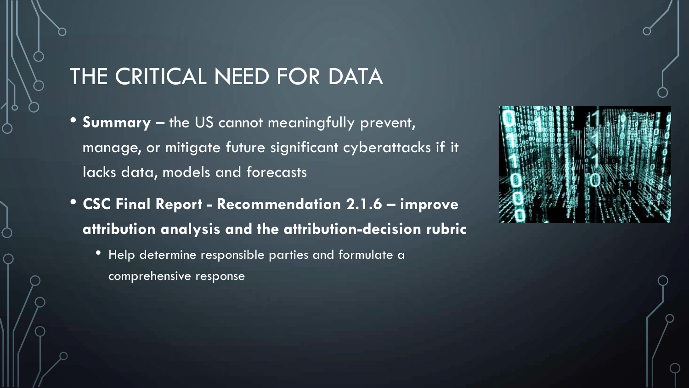- **Summary** the US cannot meaningfully prevent, manage, or mitigate future significant cyberattacks if it lacks data, models and forecasts
- **CSC Final Report - Recommendation 2.1.6 – improve attribution analysis and the attribution-decision rubric**
	- Help determine responsible parties and formulate a comprehensive response

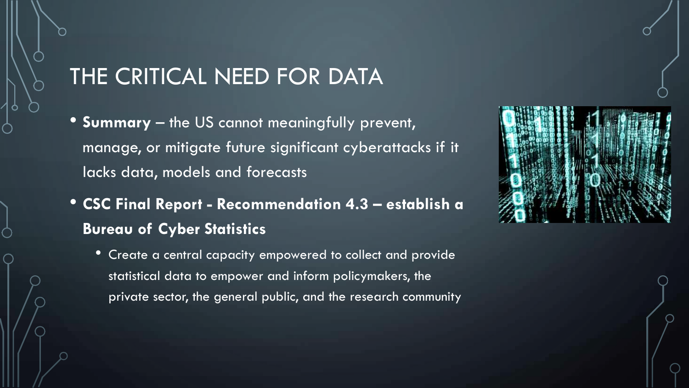- **Summary** the US cannot meaningfully prevent, manage, or mitigate future significant cyberattacks if it lacks data, models and forecasts
- **CSC Final Report - Recommendation 4.3 – establish a Bureau of Cyber Statistics**
	- Create a central capacity empowered to collect and provide statistical data to empower and inform policymakers, the private sector, the general public, and the research community

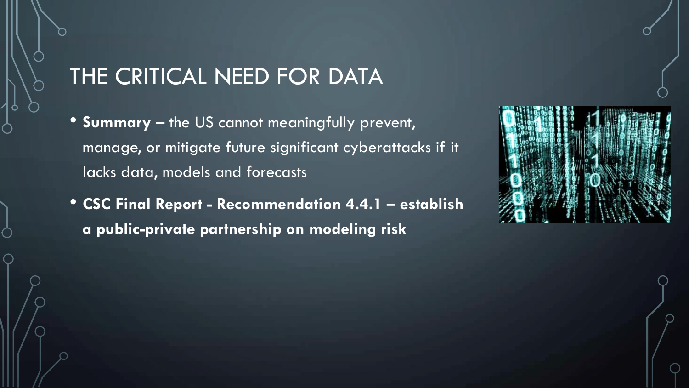- **Summary** the US cannot meaningfully prevent, manage, or mitigate future significant cyberattacks if it lacks data, models and forecasts
- **CSC Final Report - Recommendation 4.4.1 – establish a public-private partnership on modeling risk**

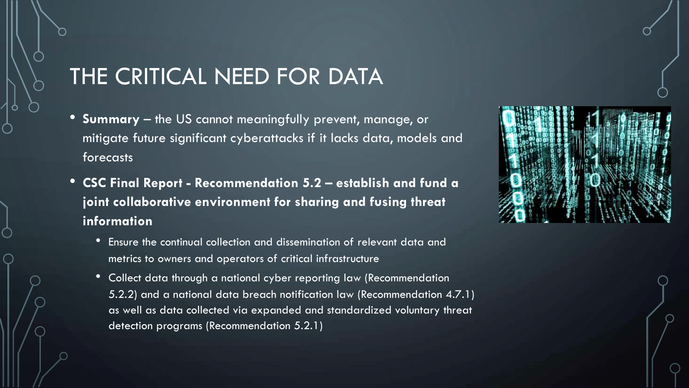- **Summary** the US cannot meaningfully prevent, manage, or mitigate future significant cyberattacks if it lacks data, models and forecasts
- **CSC Final Report - Recommendation 5.2 – establish and fund a joint collaborative environment for sharing and fusing threat information**
	- Ensure the continual collection and dissemination of relevant data and metrics to owners and operators of critical infrastructure
	- Collect data through a national cyber reporting law (Recommendation 5.2.2) and a national data breach notification law (Recommendation 4.7.1) as well as data collected via expanded and standardized voluntary threat detection programs (Recommendation 5.2.1)

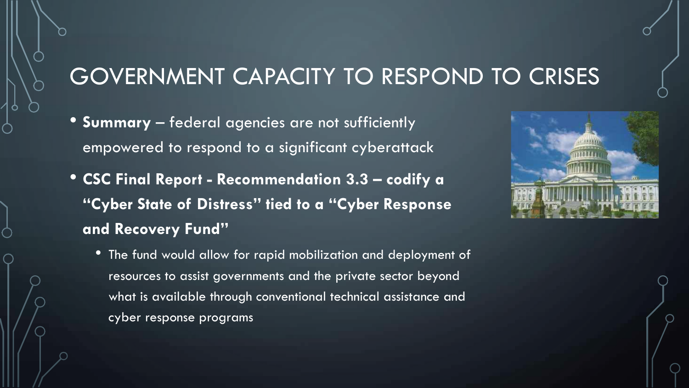#### GOVERNMENT CAPACITY TO RESPOND TO CRISES

- **Summary** federal agencies are not sufficiently empowered to respond to a significant cyberattack
- **CSC Final Report - Recommendation 3.3 – codify a "Cyber State of Distress" tied to a "Cyber Response and Recovery Fund"**



• The fund would allow for rapid mobilization and deployment of resources to assist governments and the private sector beyond what is available through conventional technical assistance and cyber response programs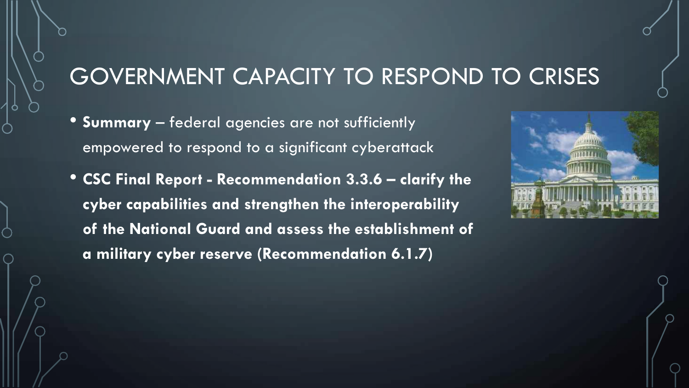#### GOVERNMENT CAPACITY TO RESPOND TO CRISES

- **Summary** federal agencies are not sufficiently empowered to respond to a significant cyberattack
- **CSC Final Report - Recommendation 3.3.6 – clarify the cyber capabilities and strengthen the interoperability of the National Guard and assess the establishment of a military cyber reserve (Recommendation 6.1.7)**

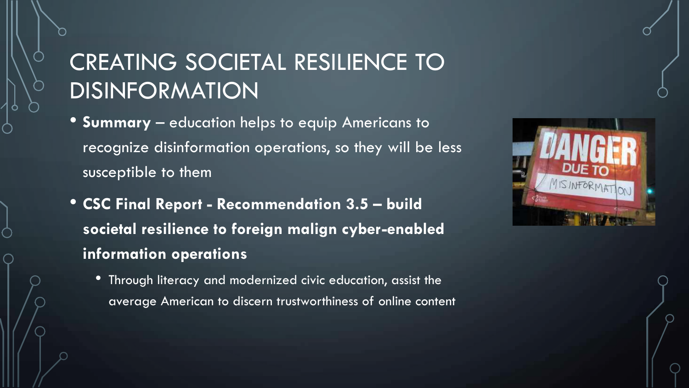# CREATING SOCIETAL RESILIENCE TO DISINFORMATION

- **Summary** education helps to equip Americans to recognize disinformation operations, so they will be less susceptible to them
- **CSC Final Report - Recommendation 3.5 – build societal resilience to foreign malign cyber-enabled information operations**
	- Through literacy and modernized civic education, assist the average American to discern trustworthiness of online content

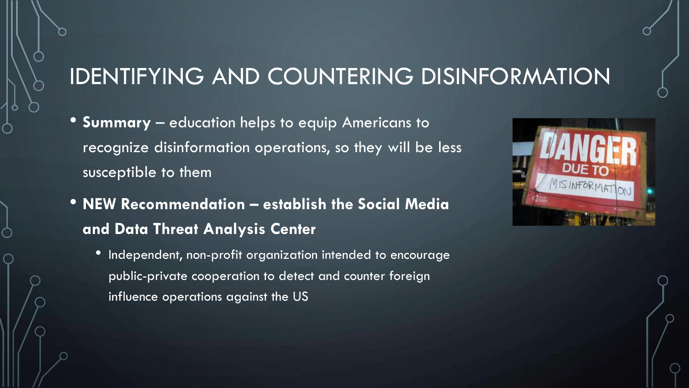#### IDENTIFYING AND COUNTERING DISINFORMATION

- **Summary** education helps to equip Americans to recognize disinformation operations, so they will be less susceptible to them
- **NEW Recommendation – establish the Social Media and Data Threat Analysis Center**
	- Independent, non-profit organization intended to encourage public-private cooperation to detect and counter foreign influence operations against the US

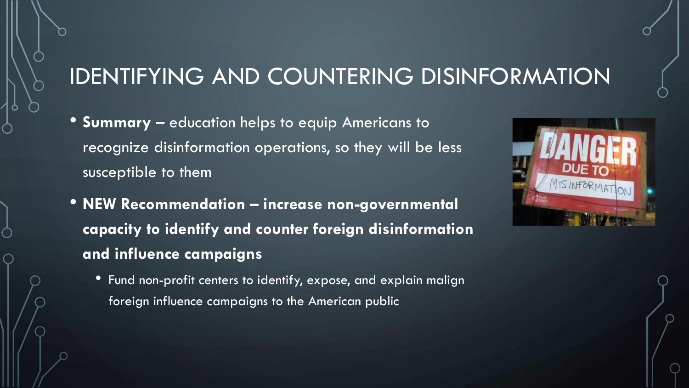# IDENTIFYING AND COUNTERING DISINFORMATION

- **Summary** education helps to equip Americans to recognize disinformation operations, so they will be less susceptible to them
- **NEW Recommendation – increase non-governmental capacity to identify and counter foreign disinformation and influence campaigns**
	- Fund non-profit centers to identify, expose, and explain malign foreign influence campaigns to the American public

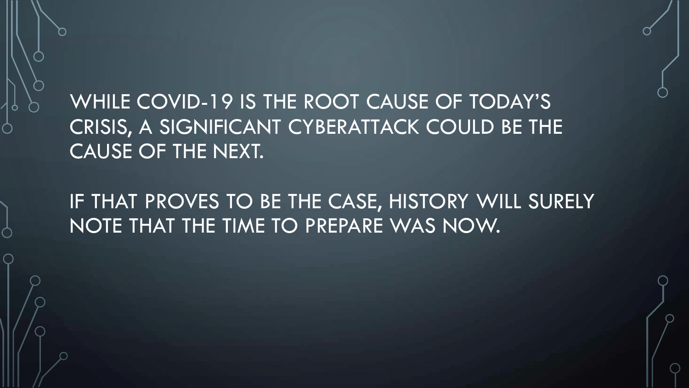WHILE COVID-19 IS THE ROOT CAUSE OF TODAY'S CRISIS, A SIGNIFICANT CYBERATTACK COULD BE THE CAUSE OF THE NEXT.

IF THAT PROVES TO BE THE CASE, HISTORY WILL SURELY NOTE THAT THE TIME TO PREPARE WAS NOW.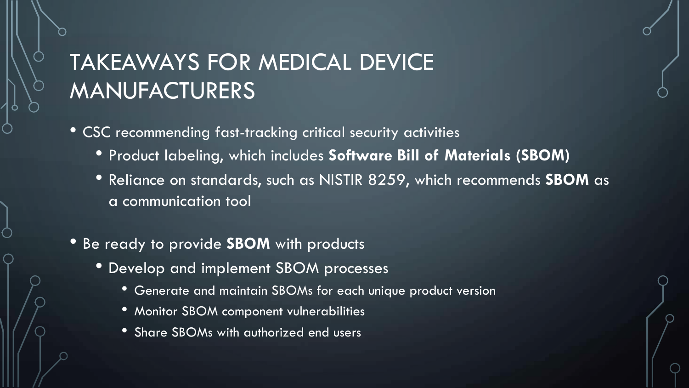# TAKEAWAYS FOR MEDICAL DEVICE MANUFACTURERS

- CSC recommending fast-tracking critical security activities
	- Product labeling, which includes **Software Bill of Materials (SBOM)**
	- Reliance on standards, such as NISTIR 8259, which recommends **SBOM** as a communication tool
- Be ready to provide **SBOM** with products
	- Develop and implement SBOM processes
		- Generate and maintain SBOMs for each unique product version
		- Monitor SBOM component vulnerabilities
		- Share SBOMs with authorized end users